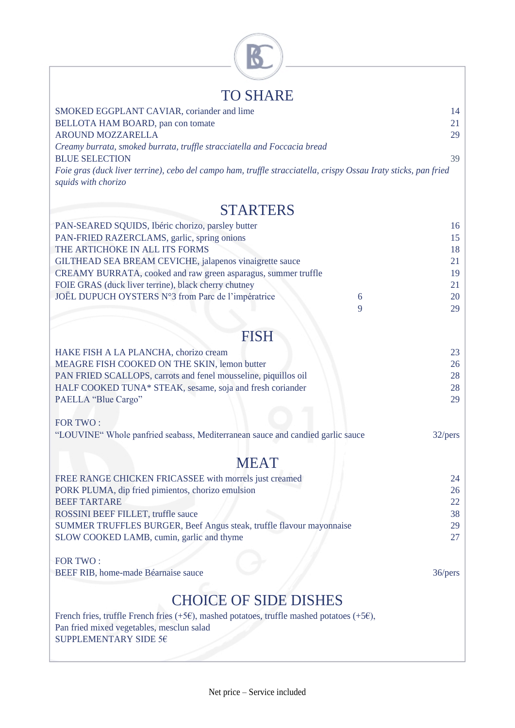

## TO SHARE

| SMOKED EGGPLANT CAVIAR, coriander and lime                                                                      | 14  |
|-----------------------------------------------------------------------------------------------------------------|-----|
| BELLOTA HAM BOARD, pan con tomate                                                                               | 21  |
| <b>AROUND MOZZARELLA</b>                                                                                        | 29  |
| Creamy burrata, smoked burrata, truffle stracciatella and Foccacia bread                                        |     |
| <b>BLUE SELECTION</b>                                                                                           | 39  |
| Foie gras (duck liver terrine), cebo del campo ham, truffle stracciatella, crispy Ossau Iraty sticks, pan fried |     |
| squids with chorizo                                                                                             |     |
| <b>STARTERS</b>                                                                                                 |     |
|                                                                                                                 |     |
| PAN-SEARED SQUIDS, Ibéric chorizo, parsley butter                                                               | 16  |
| PAN-FRIED RAZERCLAMS, garlic, spring onions                                                                     | 15  |
| THE ADTICHAVE IN ALL ITS EADMS                                                                                  | 1 Q |

| THE ARTICHOKE IN ALL ITS FORMS                                 |   | 18 |
|----------------------------------------------------------------|---|----|
| GILTHEAD SEA BREAM CEVICHE, jalapenos vinaigrette sauce        |   | 21 |
| CREAMY BURRATA, cooked and raw green asparagus, summer truffle |   | 19 |
| FOIE GRAS (duck liver terrine), black cherry chutney           |   | 21 |
| JOËL DUPUCH OYSTERS N°3 from Parc de l'impératrice             | h | 20 |
|                                                                |   | 29 |
|                                                                |   |    |

| 1 10 1 1                                                        |    |
|-----------------------------------------------------------------|----|
| HAKE FISH A LA PLANCHA, chorizo cream                           | 23 |
| MEAGRE FISH COOKED ON THE SKIN, lemon butter                    | 26 |
| PAN FRIED SCALLOPS, carrots and fenel mousseline, piquillos oil | 28 |
| HALF COOKED TUNA* STEAK, sesame, soja and fresh coriander       | 28 |
| PAELLA "Blue Cargo"                                             | 29 |
|                                                                 |    |

FOR TWO : "LOUVINE" Whole panfried seabass, Mediterranean sauce and candied garlic sauce 32/pers

## **MEAT**

| FREE RANGE CHICKEN FRICASSEE with morrels just creamed               | 24 |
|----------------------------------------------------------------------|----|
| PORK PLUMA, dip fried pimientos, chorizo emulsion                    | 26 |
| <b>BEEF TARTARE</b>                                                  | 22 |
| ROSSINI BEEF FILLET, truffle sauce                                   | 38 |
| SUMMER TRUFFLES BURGER, Beef Angus steak, truffle flavour mayonnaise | 29 |
| SLOW COOKED LAMB, cumin, garlic and thyme                            | 27 |
|                                                                      |    |

FOR TWO : BEEF RIB, home-made Béarnaise sauce 36/pers

## CHOICE OF SIDE DISHES

French fries, truffle French fries (+5€), mashed potatoes, truffle mashed potatoes (+5€), Pan fried mixed vegetables, mesclun salad SUPPLEMENTARY SIDE 5€